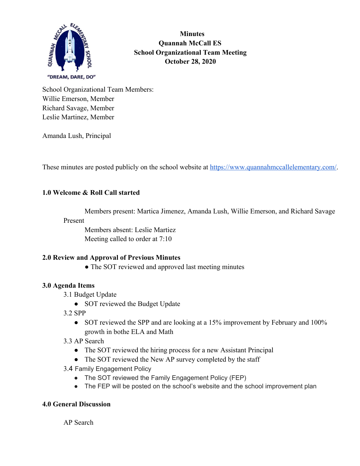

 **Minutes Quannah McCall ES School Organizational Team Meeting October 28, 2020**

School Organizational Team Members: Willie Emerson, Member Richard Savage, Member Leslie Martinez, Member

Amanda Lush, Principal

These minutes are posted publicly on the school website at<https://www.quannahmccallelementary.com/>.

#### **1.0 Welcome & Roll Call started**

Members present: Martica Jimenez, Amanda Lush, Willie Emerson, and Richard Savage

# Present

Members absent: Leslie Martiez Meeting called to order at 7:10

#### **2.0 Review and Approval of Previous Minutes**

• The SOT reviewed and approved last meeting minutes

#### **3.0 Agenda Items**

- 3.1 Budget Update
	- SOT reviewed the Budget Update
- 3.2 SPP
	- SOT reviewed the SPP and are looking at a 15% improvement by February and 100% growth in bothe ELA and Math
- 3.3 AP Search
	- The SOT reviewed the hiring process for a new Assistant Principal
	- The SOT reviewed the New AP survey completed by the staff
- 3.4 Family Engagement Policy
	- The SOT reviewed the Family Engagement Policy (FEP)
	- The FEP will be posted on the school's website and the school improvement plan

#### **4.0 General Discussion**

AP Search